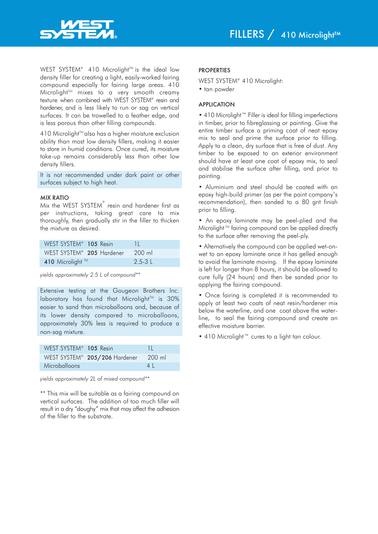

WEST SYSTEM® 410 Microlight<sup>™</sup> is the ideal low density filler for creating a light, easily-worked fairing compound especially for fairing large areas. 410 Microlight TM mixes to a very smooth creamy texture when combined with WEST SYSTEM® resin and hardener, and is less likely to run or sag on vertical surfaces. It can be trowelled to a feather edge, and is less porous than other filling compounds.

410 Microlight<sup>™</sup>also has a higher moisture exclusion ability than most low density fillers, making it easier to store in humid conditions. Once cured, its moisture take-up remains considerably less than other low density fillers.

It is not recommended under dark paint or other surfaces subject to high heat.

## MIX RATIO

Mix the WEST SYSTEM $^\circ$  resin and hardener first as per instructions, taking great care to mix thoroughly, then gradually stir in the filler to thicken the mixture as desired.

| WEST SYSTEM <sup>®</sup> 105 Resin | N N    |
|------------------------------------|--------|
| WEST SYSTEM® 205 Hardener 200 ml   |        |
| 410 Microlight ™                   | 2.5-31 |

*yields approximately 2.5 L of compound\*\**

Extensive testing at the Gougeon Brothers Inc. laboratory has found that Microlight™ is 30% easier to sand than microballoons and, because of its lower density compared to microballoons, approximately 30% less is required to produce a non-sag mixture.

| WEST SYSTEM <sup>®</sup> 105 Resin |                                                  | -11            |
|------------------------------------|--------------------------------------------------|----------------|
|                                    | WEST SYSTEM <sup>®</sup> 205/206 Hardener 200 ml |                |
| Microballoons                      |                                                  | 4 <sup>1</sup> |

*yields approximately 2L of mixed compound\*\**

\*\* This mix will be suitable as a fairing compound on vertical surfaces. The addition of too much filler will result in a dry "doughy" mix that may affect the adhesion of the filler to the substrate.

## **PROPERTIES**

WEST SYSTEM® 410 Microlight:

• tan powder

#### APPLICATION

• 410 Microlight™ Filler is ideal for filling imperfections in timber, prior to fibreglassing or painting. Give the entire timber surface a priming coat of neat epoxy mix to seal and prime the surface prior to filling. Apply to a clean, dry surface that is free of dust. Any timber to be exposed to an exterior environment should have at least one coat of epoxy mix, to seal and stabilise the surface after filling, and prior to painting.

• Aluminium and steel should be coated with an epoxy high-build primer (as per the paint company's recommendation), then sanded to a 80 grit finish prior to filling.

• An epoxy laminate may be peel-plied and the Microlight™ fairing compound can be applied directly to the surface after removing the peel-ply.

• Alternatively the compound can be applied wet-onwet to an epoxy laminate once it has gelled enough to avoid the laminate moving. If the epoxy laminate is left for longer than 8 hours, it should be allowed to cure fully (24 hours) and then be sanded prior to applying the fairing compound.

• Once fairing is completed it is recommended to apply at least two coats of neat resin/hardener mix below the waterline, and one coat above the waterline, to seal the fairing compound and create an effective moisture barrier.

• 410 Microlight™ cures to a light tan colour.